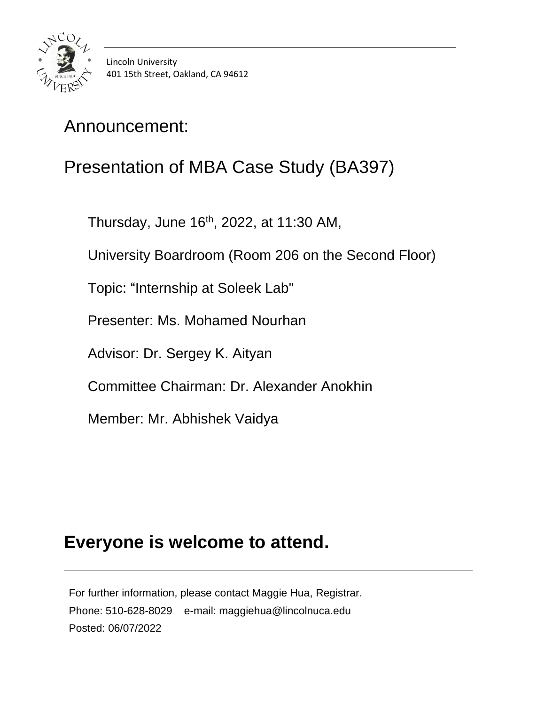

# Presentation of MBA Case Study (BA397)

Thursday, June 16th, 2022, at 11:30 AM,

University Boardroom (Room 206 on the Second Floor)

Topic: "Internship at Soleek Lab"

Presenter: Ms. Mohamed Nourhan

Advisor: Dr. Sergey K. Aityan

Committee Chairman: Dr. Alexander Anokhin

Member: Mr. Abhishek Vaidya

#### **Everyone is welcome to attend.**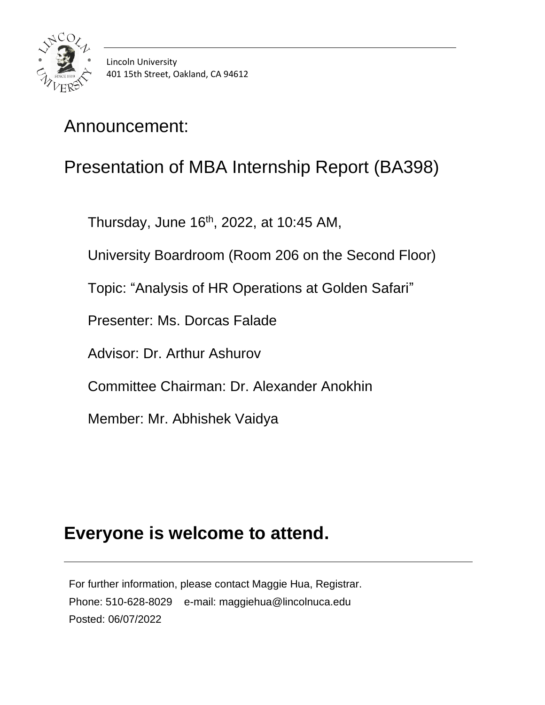

# Presentation of MBA Internship Report (BA398)

Thursday, June 16 th, 2022, at 10:45 AM,

University Boardroom (Room 206 on the Second Floor)

Topic: "Analysis of HR Operations at Golden Safari"

Presenter: Ms. Dorcas Falade

Advisor: Dr. Arthur Ashurov

Committee Chairman: Dr. Alexander Anokhin

Member: Mr. Abhishek Vaidya

#### **Everyone is welcome to attend.**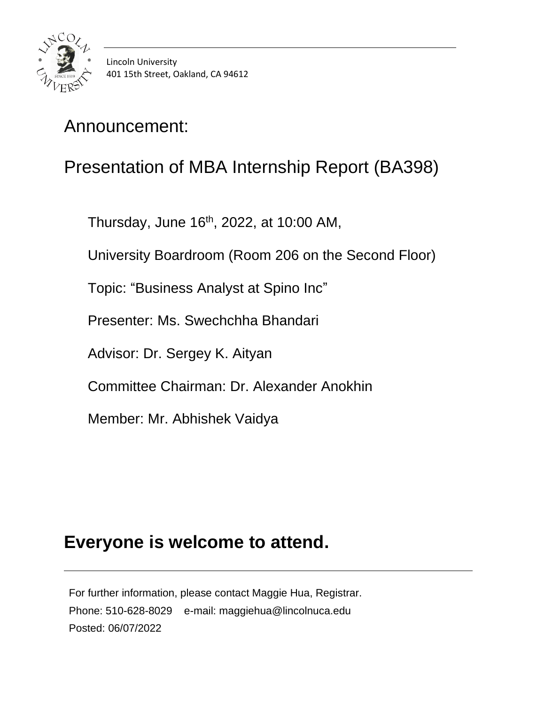

# Presentation of MBA Internship Report (BA398)

Thursday, June 16<sup>th</sup>, 2022, at 10:00 AM,

University Boardroom (Room 206 on the Second Floor)

Topic: "Business Analyst at Spino Inc"

Presenter: Ms. Swechchha Bhandari

Advisor: Dr. Sergey K. Aityan

Committee Chairman: Dr. Alexander Anokhin

Member: Mr. Abhishek Vaidya

#### **Everyone is welcome to attend.**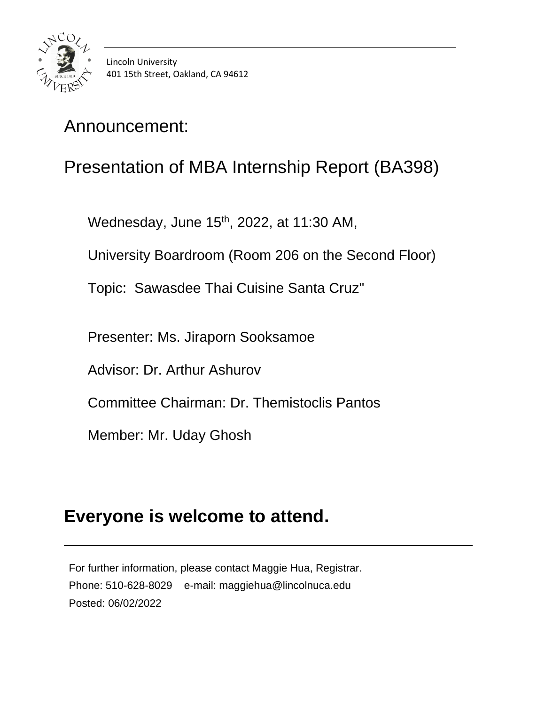

# Presentation of MBA Internship Report (BA398)

Wednesday, June 15<sup>th</sup>, 2022, at 11:30 AM,

University Boardroom (Room 206 on the Second Floor)

Topic: Sawasdee Thai Cuisine Santa Cruz"

Presenter: Ms. Jiraporn Sooksamoe

Advisor: Dr. Arthur Ashurov

Committee Chairman: Dr. Themistoclis Pantos

Member: Mr. Uday Ghosh

### **Everyone is welcome to attend.**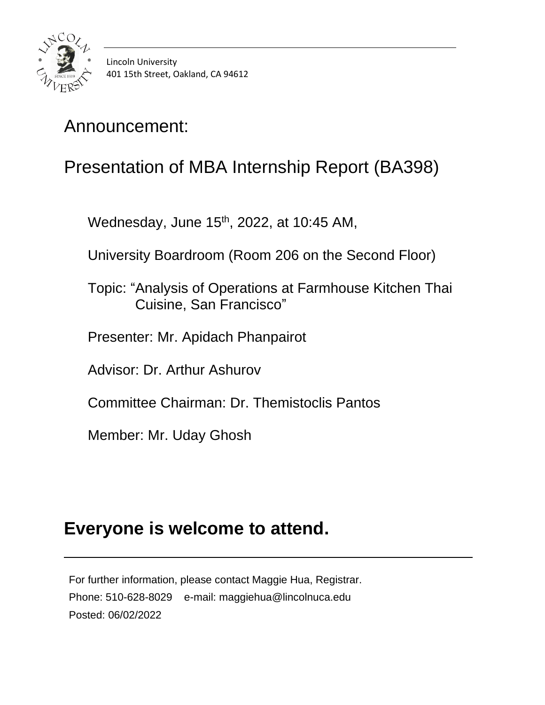

# Presentation of MBA Internship Report (BA398)

Wednesday, June 15<sup>th</sup>, 2022, at 10:45 AM,

University Boardroom (Room 206 on the Second Floor)

 Topic: "Analysis of Operations at Farmhouse Kitchen Thai Cuisine, San Francisco"

Presenter: Mr. Apidach Phanpairot

Advisor: Dr. Arthur Ashurov

Committee Chairman: Dr. Themistoclis Pantos

Member: Mr. Uday Ghosh

#### **Everyone is welcome to attend.**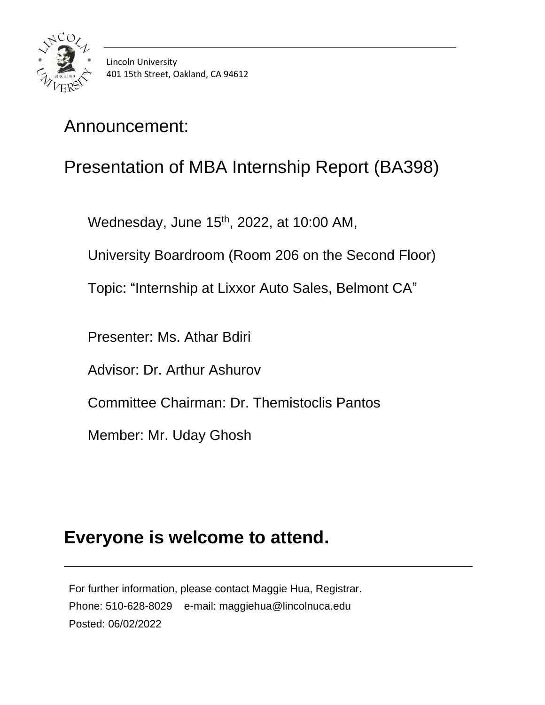

# Presentation of MBA Internship Report (BA398)

Wednesday, June 15<sup>th</sup>, 2022, at 10:00 AM,

University Boardroom (Room 206 on the Second Floor)

Topic: "Internship at Lixxor Auto Sales, Belmont CA"

Presenter: Ms. Athar Bdiri

Advisor: Dr. Arthur Ashurov

Committee Chairman: Dr. Themistoclis Pantos

Member: Mr. Uday Ghosh

#### **Everyone is welcome to attend.**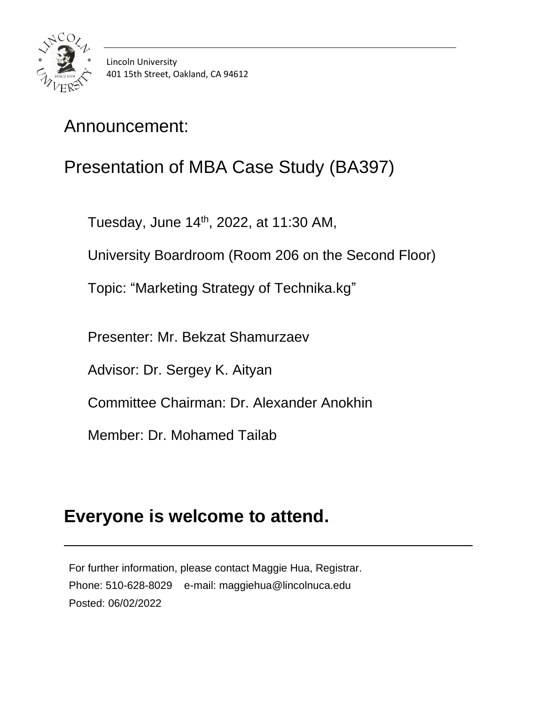

# Presentation of MBA Case Study (BA397)

Tuesday, June 14<sup>th</sup>, 2022, at 11:30 AM,

University Boardroom (Room 206 on the Second Floor)

Topic: "Marketing Strategy of Technika.kg"

Presenter: Mr. Bekzat Shamurzaev

Advisor: Dr. Sergey K. Aityan

Committee Chairman: Dr. Alexander Anokhin

Member: Dr. Mohamed Tailab

### **Everyone is welcome to attend.**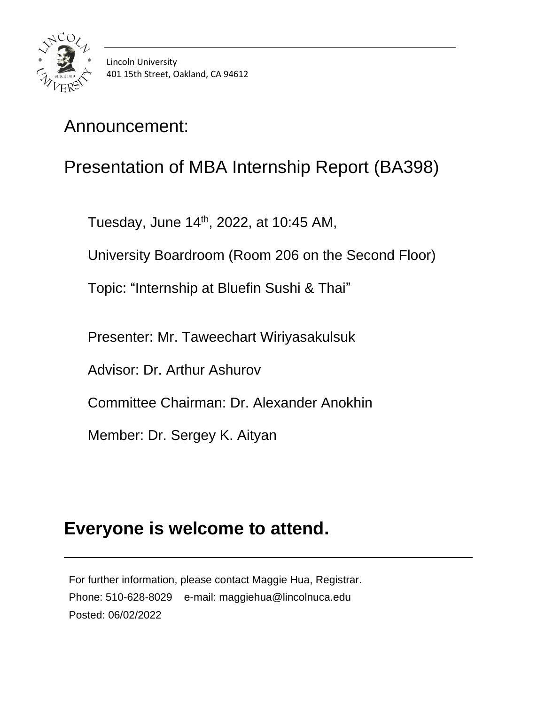

# Presentation of MBA Internship Report (BA398)

Tuesday, June 14 th, 2022, at 10:45 AM,

University Boardroom (Room 206 on the Second Floor)

Topic: "Internship at Bluefin Sushi & Thai"

Presenter: Mr. Taweechart Wiriyasakulsuk

Advisor: Dr. Arthur Ashurov

Committee Chairman: Dr. Alexander Anokhin

Member: Dr. Sergey K. Aityan

#### **Everyone is welcome to attend.**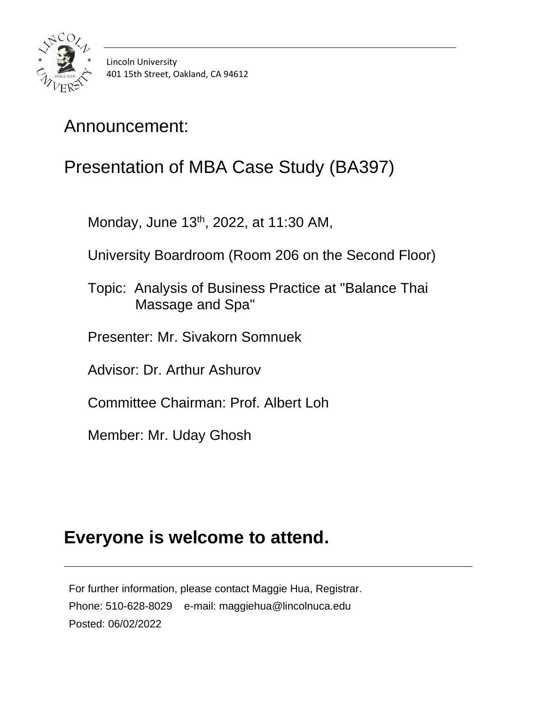

# Presentation of MBA Case Study (BA397)

Monday, June 13<sup>th</sup>, 2022, at 11:30 AM,

University Boardroom (Room 206 on the Second Floor)

 Topic: Analysis of Business Practice at "Balance Thai Massage and Spa"

Presenter: Mr. Sivakorn Somnuek

Advisor: Dr. Arthur Ashurov

Committee Chairman: Prof. Albert Loh

Member: Mr. Uday Ghosh

### **Everyone is welcome to attend.**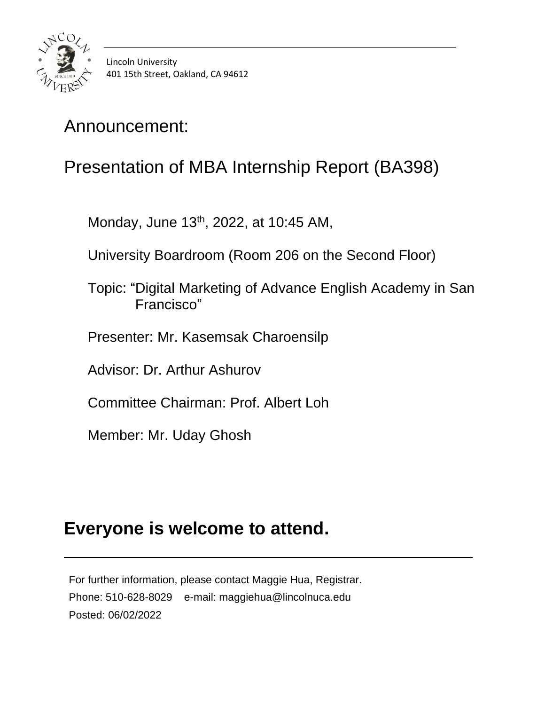

# Presentation of MBA Internship Report (BA398)

Monday, June 13<sup>th</sup>, 2022, at 10:45 AM,

University Boardroom (Room 206 on the Second Floor)

- Topic: "Digital Marketing of Advance English Academy in San Francisco"
- Presenter: Mr. Kasemsak Charoensilp

Advisor: Dr. Arthur Ashurov

Committee Chairman: Prof. Albert Loh

Member: Mr. Uday Ghosh

# **Everyone is welcome to attend.**